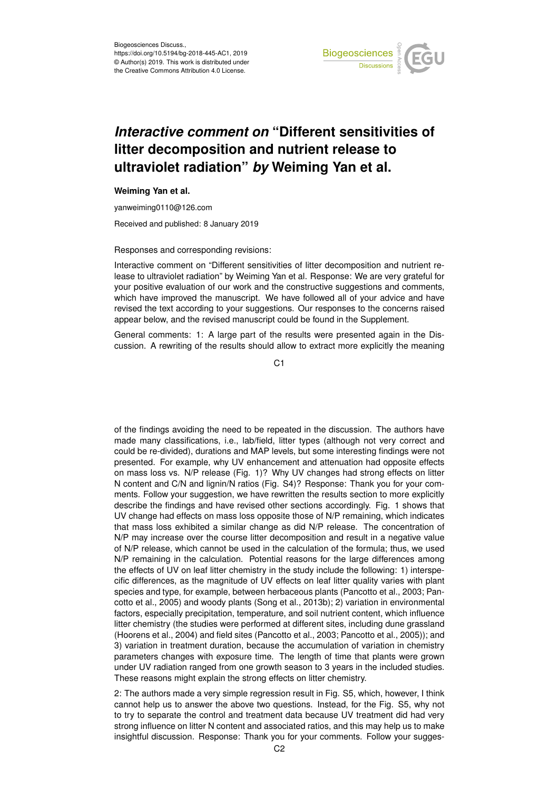

## *Interactive comment on* **"Different sensitivities of litter decomposition and nutrient release to ultraviolet radiation"** *by* **Weiming Yan et al.**

## **Weiming Yan et al.**

yanweiming0110@126.com

Received and published: 8 January 2019

## Responses and corresponding revisions:

Interactive comment on "Different sensitivities of litter decomposition and nutrient release to ultraviolet radiation" by Weiming Yan et al. Response: We are very grateful for your positive evaluation of our work and the constructive suggestions and comments, which have improved the manuscript. We have followed all of your advice and have revised the text according to your suggestions. Our responses to the concerns raised appear below, and the revised manuscript could be found in the Supplement.

General comments: 1: A large part of the results were presented again in the Discussion. A rewriting of the results should allow to extract more explicitly the meaning

 $C<sub>1</sub>$ 

of the findings avoiding the need to be repeated in the discussion. The authors have made many classifications, i.e., lab/field, litter types (although not very correct and could be re-divided), durations and MAP levels, but some interesting findings were not presented. For example, why UV enhancement and attenuation had opposite effects on mass loss vs. N/P release (Fig. 1)? Why UV changes had strong effects on litter N content and C/N and lignin/N ratios (Fig. S4)? Response: Thank you for your comments. Follow your suggestion, we have rewritten the results section to more explicitly describe the findings and have revised other sections accordingly. Fig. 1 shows that UV change had effects on mass loss opposite those of N/P remaining, which indicates that mass loss exhibited a similar change as did N/P release. The concentration of N/P may increase over the course litter decomposition and result in a negative value of N/P release, which cannot be used in the calculation of the formula; thus, we used N/P remaining in the calculation. Potential reasons for the large differences among the effects of UV on leaf litter chemistry in the study include the following: 1) interspecific differences, as the magnitude of UV effects on leaf litter quality varies with plant species and type, for example, between herbaceous plants (Pancotto et al., 2003; Pancotto et al., 2005) and woody plants (Song et al., 2013b); 2) variation in environmental factors, especially precipitation, temperature, and soil nutrient content, which influence litter chemistry (the studies were performed at different sites, including dune grassland (Hoorens et al., 2004) and field sites (Pancotto et al., 2003; Pancotto et al., 2005)); and 3) variation in treatment duration, because the accumulation of variation in chemistry parameters changes with exposure time. The length of time that plants were grown under UV radiation ranged from one growth season to 3 years in the included studies. These reasons might explain the strong effects on litter chemistry.

2: The authors made a very simple regression result in Fig. S5, which, however, I think cannot help us to answer the above two questions. Instead, for the Fig. S5, why not to try to separate the control and treatment data because UV treatment did had very strong influence on litter N content and associated ratios, and this may help us to make insightful discussion. Response: Thank you for your comments. Follow your sugges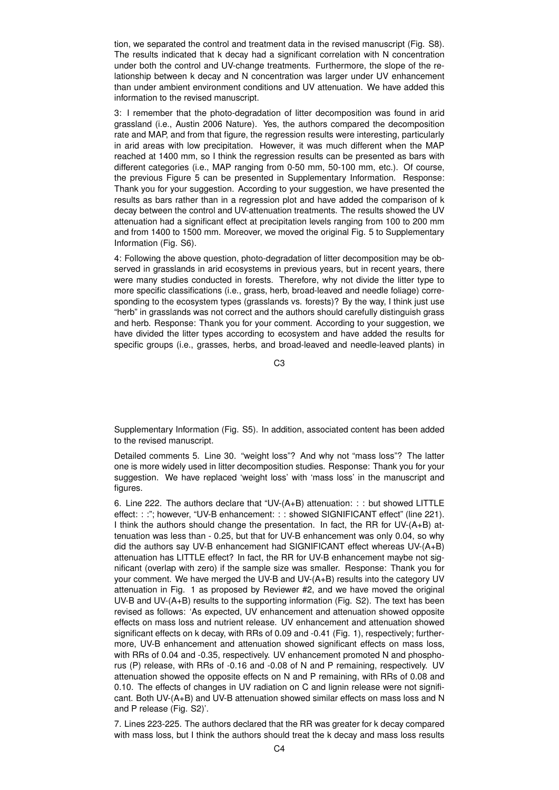tion, we separated the control and treatment data in the revised manuscript (Fig. S8). The results indicated that k decay had a significant correlation with N concentration under both the control and UV-change treatments. Furthermore, the slope of the relationship between k decay and N concentration was larger under UV enhancement than under ambient environment conditions and UV attenuation. We have added this information to the revised manuscript.

3: I remember that the photo-degradation of litter decomposition was found in arid grassland (i.e., Austin 2006 Nature). Yes, the authors compared the decomposition rate and MAP, and from that figure, the regression results were interesting, particularly in arid areas with low precipitation. However, it was much different when the MAP reached at 1400 mm, so I think the regression results can be presented as bars with different categories (i.e., MAP ranging from 0-50 mm, 50-100 mm, etc.). Of course, the previous Figure 5 can be presented in Supplementary Information. Response: Thank you for your suggestion. According to your suggestion, we have presented the results as bars rather than in a regression plot and have added the comparison of k decay between the control and UV-attenuation treatments. The results showed the UV attenuation had a significant effect at precipitation levels ranging from 100 to 200 mm and from 1400 to 1500 mm. Moreover, we moved the original Fig. 5 to Supplementary Information (Fig. S6).

4: Following the above question, photo-degradation of litter decomposition may be observed in grasslands in arid ecosystems in previous years, but in recent years, there were many studies conducted in forests. Therefore, why not divide the litter type to more specific classifications (i.e., grass, herb, broad-leaved and needle foliage) corresponding to the ecosystem types (grasslands vs. forests)? By the way, I think just use "herb" in grasslands was not correct and the authors should carefully distinguish grass and herb. Response: Thank you for your comment. According to your suggestion, we have divided the litter types according to ecosystem and have added the results for specific groups (i.e., grasses, herbs, and broad-leaved and needle-leaved plants) in

C3

Supplementary Information (Fig. S5). In addition, associated content has been added to the revised manuscript.

Detailed comments 5. Line 30. "weight loss"? And why not "mass loss"? The latter one is more widely used in litter decomposition studies. Response: Thank you for your suggestion. We have replaced 'weight loss' with 'mass loss' in the manuscript and figures.

6. Line 222. The authors declare that "UV-(A+B) attenuation: : : but showed LITTLE effect: : :"; however, "UV-B enhancement: : : showed SIGNIFICANT effect" (line 221). I think the authors should change the presentation. In fact, the RR for UV-(A+B) attenuation was less than - 0.25, but that for UV-B enhancement was only 0.04, so why did the authors say UV-B enhancement had SIGNIFICANT effect whereas UV-(A+B) attenuation has LITTLE effect? In fact, the RR for UV-B enhancement maybe not significant (overlap with zero) if the sample size was smaller. Response: Thank you for your comment. We have merged the UV-B and UV-(A+B) results into the category UV attenuation in Fig. 1 as proposed by Reviewer #2, and we have moved the original UV-B and UV-(A+B) results to the supporting information (Fig. S2). The text has been revised as follows: 'As expected, UV enhancement and attenuation showed opposite effects on mass loss and nutrient release. UV enhancement and attenuation showed significant effects on k decay, with RRs of 0.09 and -0.41 (Fig. 1), respectively; furthermore, UV-B enhancement and attenuation showed significant effects on mass loss, with RRs of 0.04 and -0.35, respectively. UV enhancement promoted N and phosphorus (P) release, with RRs of -0.16 and -0.08 of N and P remaining, respectively. UV attenuation showed the opposite effects on N and P remaining, with RRs of 0.08 and 0.10. The effects of changes in UV radiation on C and lignin release were not significant. Both UV-(A+B) and UV-B attenuation showed similar effects on mass loss and N and P release (Fig. S2)'.

7. Lines 223-225. The authors declared that the RR was greater for k decay compared with mass loss, but I think the authors should treat the k decay and mass loss results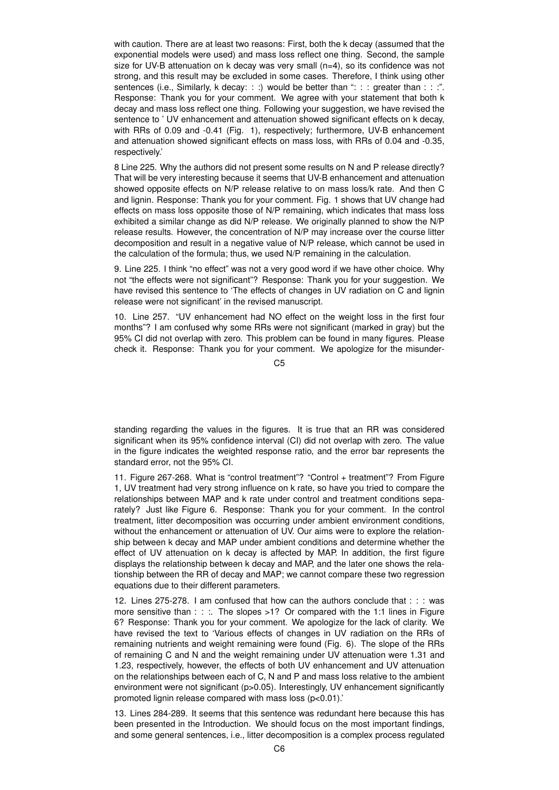with caution. There are at least two reasons: First, both the k decay (assumed that the exponential models were used) and mass loss reflect one thing. Second, the sample size for UV-B attenuation on  $k$  decay was very small  $(n=4)$ , so its confidence was not strong, and this result may be excluded in some cases. Therefore, I think using other sentences (i.e., Similarly, k decay: : :) would be better than ": : : greater than : : :". Response: Thank you for your comment. We agree with your statement that both k decay and mass loss reflect one thing. Following your suggestion, we have revised the sentence to ' UV enhancement and attenuation showed significant effects on k decay, with RRs of 0.09 and -0.41 (Fig. 1), respectively; furthermore, UV-B enhancement and attenuation showed significant effects on mass loss, with RRs of 0.04 and -0.35, respectively.'

8 Line 225. Why the authors did not present some results on N and P release directly? That will be very interesting because it seems that UV-B enhancement and attenuation showed opposite effects on N/P release relative to on mass loss/k rate. And then C and lignin. Response: Thank you for your comment. Fig. 1 shows that UV change had effects on mass loss opposite those of N/P remaining, which indicates that mass loss exhibited a similar change as did N/P release. We originally planned to show the N/P release results. However, the concentration of N/P may increase over the course litter decomposition and result in a negative value of N/P release, which cannot be used in the calculation of the formula; thus, we used N/P remaining in the calculation.

9. Line 225. I think "no effect" was not a very good word if we have other choice. Why not "the effects were not significant"? Response: Thank you for your suggestion. We have revised this sentence to 'The effects of changes in UV radiation on C and lignin release were not significant' in the revised manuscript.

10. Line 257. "UV enhancement had NO effect on the weight loss in the first four months"? I am confused why some RRs were not significant (marked in gray) but the 95% CI did not overlap with zero. This problem can be found in many figures. Please check it. Response: Thank you for your comment. We apologize for the misunder-

 $C<sub>5</sub>$ 

standing regarding the values in the figures. It is true that an RR was considered significant when its 95% confidence interval (CI) did not overlap with zero. The value in the figure indicates the weighted response ratio, and the error bar represents the standard error, not the 95% CI.

11. Figure 267-268. What is "control treatment"? "Control + treatment"? From Figure 1, UV treatment had very strong influence on k rate, so have you tried to compare the relationships between MAP and k rate under control and treatment conditions separately? Just like Figure 6. Response: Thank you for your comment. In the control treatment, litter decomposition was occurring under ambient environment conditions, without the enhancement or attenuation of UV. Our aims were to explore the relationship between k decay and MAP under ambient conditions and determine whether the effect of UV attenuation on k decay is affected by MAP. In addition, the first figure displays the relationship between k decay and MAP, and the later one shows the relationship between the RR of decay and MAP; we cannot compare these two regression equations due to their different parameters.

12. Lines 275-278. I am confused that how can the authors conclude that : : : was more sensitive than  $:$   $:$   $:$  The slopes >1? Or compared with the 1:1 lines in Figure 6? Response: Thank you for your comment. We apologize for the lack of clarity. We have revised the text to 'Various effects of changes in UV radiation on the RRs of remaining nutrients and weight remaining were found (Fig. 6). The slope of the RRs of remaining C and N and the weight remaining under UV attenuation were 1.31 and 1.23, respectively, however, the effects of both UV enhancement and UV attenuation on the relationships between each of C, N and P and mass loss relative to the ambient environment were not significant (p>0.05). Interestingly, UV enhancement significantly promoted lignin release compared with mass loss (p<0.01).'

13. Lines 284-289. It seems that this sentence was redundant here because this has been presented in the Introduction. We should focus on the most important findings, and some general sentences, i.e., litter decomposition is a complex process regulated